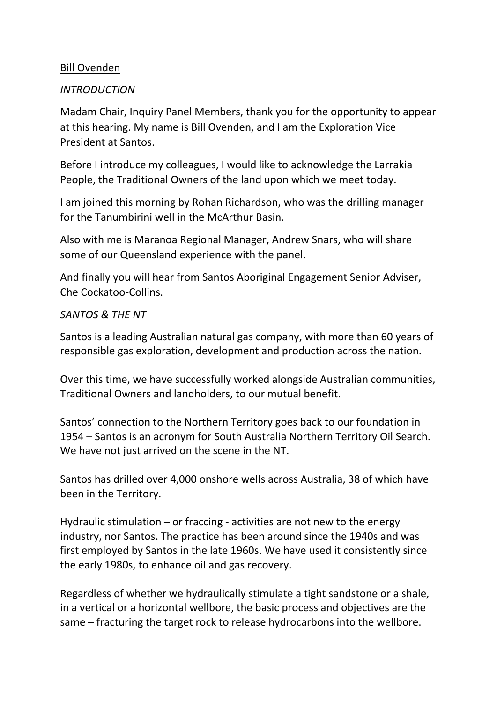### Bill Ovenden

### *INTRODUCTION*

Madam Chair, Inquiry Panel Members, thank you for the opportunity to appear at this hearing. My name is Bill Ovenden, and I am the Exploration Vice President at Santos.

Before I introduce my colleagues, I would like to acknowledge the Larrakia People, the Traditional Owners of the land upon which we meet today.

I am joined this morning by Rohan Richardson, who was the drilling manager for the Tanumbirini well in the McArthur Basin.

Also with me is Maranoa Regional Manager, Andrew Snars, who will share some of our Queensland experience with the panel.

And finally you will hear from Santos Aboriginal Engagement Senior Adviser, Che Cockatoo-Collins.

#### *SANTOS & THE NT*

Santos is a leading Australian natural gas company, with more than 60 years of responsible gas exploration, development and production across the nation.

Over this time, we have successfully worked alongside Australian communities, Traditional Owners and landholders, to our mutual benefit.

Santos' connection to the Northern Territory goes back to our foundation in 1954 – Santos is an acronym for South Australia Northern Territory Oil Search. We have not just arrived on the scene in the NT.

Santos has drilled over 4,000 onshore wells across Australia, 38 of which have been in the Territory.

Hydraulic stimulation – or fraccing - activities are not new to the energy industry, nor Santos. The practice has been around since the 1940s and was first employed by Santos in the late 1960s. We have used it consistently since the early 1980s, to enhance oil and gas recovery.

Regardless of whether we hydraulically stimulate a tight sandstone or a shale, in a vertical or a horizontal wellbore, the basic process and objectives are the same – fracturing the target rock to release hydrocarbons into the wellbore.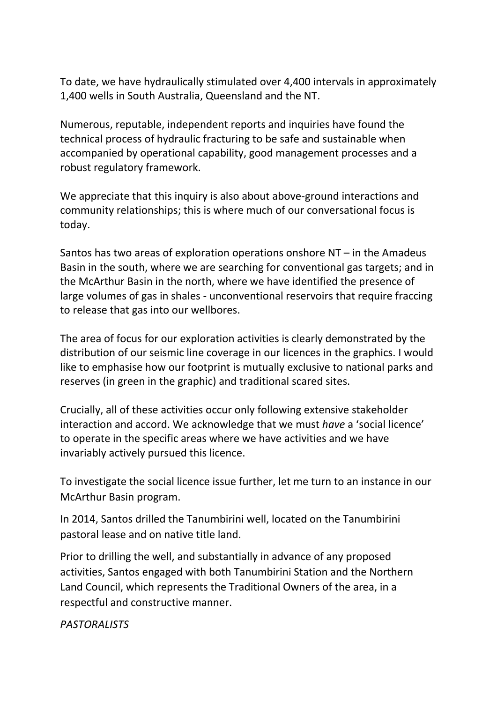To date, we have hydraulically stimulated over 4,400 intervals in approximately 1,400 wells in South Australia, Queensland and the NT.

Numerous, reputable, independent reports and inquiries have found the technical process of hydraulic fracturing to be safe and sustainable when accompanied by operational capability, good management processes and a robust regulatory framework.

We appreciate that this inquiry is also about above-ground interactions and community relationships; this is where much of our conversational focus is today.

Santos has two areas of exploration operations onshore NT – in the Amadeus Basin in the south, where we are searching for conventional gas targets; and in the McArthur Basin in the north, where we have identified the presence of large volumes of gas in shales - unconventional reservoirs that require fraccing to release that gas into our wellbores.

The area of focus for our exploration activities is clearly demonstrated by the distribution of our seismic line coverage in our licences in the graphics. I would like to emphasise how our footprint is mutually exclusive to national parks and reserves (in green in the graphic) and traditional scared sites.

Crucially, all of these activities occur only following extensive stakeholder interaction and accord. We acknowledge that we must *have* a 'social licence' to operate in the specific areas where we have activities and we have invariably actively pursued this licence.

To investigate the social licence issue further, let me turn to an instance in our McArthur Basin program.

In 2014, Santos drilled the Tanumbirini well, located on the Tanumbirini pastoral lease and on native title land.

Prior to drilling the well, and substantially in advance of any proposed activities, Santos engaged with both Tanumbirini Station and the Northern Land Council, which represents the Traditional Owners of the area, in a respectful and constructive manner.

*PASTORALISTS*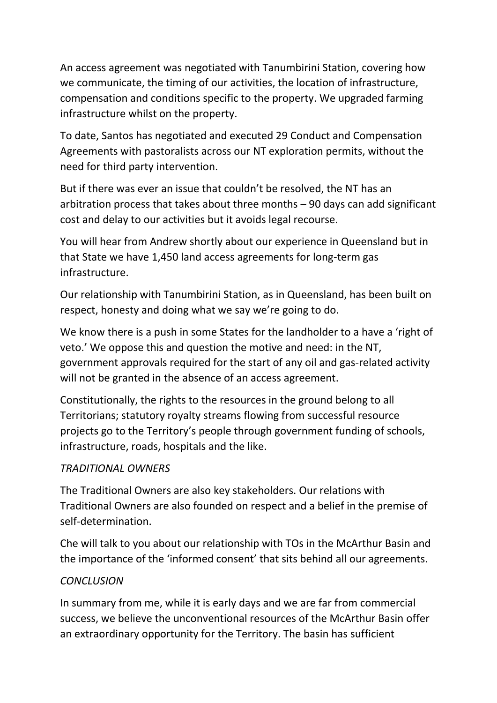An access agreement was negotiated with Tanumbirini Station, covering how we communicate, the timing of our activities, the location of infrastructure, compensation and conditions specific to the property. We upgraded farming infrastructure whilst on the property.

To date, Santos has negotiated and executed 29 Conduct and Compensation Agreements with pastoralists across our NT exploration permits, without the need for third party intervention.

But if there was ever an issue that couldn't be resolved, the NT has an arbitration process that takes about three months – 90 days can add significant cost and delay to our activities but it avoids legal recourse.

You will hear from Andrew shortly about our experience in Queensland but in that State we have 1,450 land access agreements for long-term gas infrastructure.

Our relationship with Tanumbirini Station, as in Queensland, has been built on respect, honesty and doing what we say we're going to do.

We know there is a push in some States for the landholder to a have a 'right of veto.' We oppose this and question the motive and need: in the NT, government approvals required for the start of any oil and gas-related activity will not be granted in the absence of an access agreement.

Constitutionally, the rights to the resources in the ground belong to all Territorians; statutory royalty streams flowing from successful resource projects go to the Territory's people through government funding of schools, infrastructure, roads, hospitals and the like.

## *TRADITIONAL OWNERS*

The Traditional Owners are also key stakeholders. Our relations with Traditional Owners are also founded on respect and a belief in the premise of self-determination.

Che will talk to you about our relationship with TOs in the McArthur Basin and the importance of the 'informed consent' that sits behind all our agreements.

## *CONCLUSION*

In summary from me, while it is early days and we are far from commercial success, we believe the unconventional resources of the McArthur Basin offer an extraordinary opportunity for the Territory. The basin has sufficient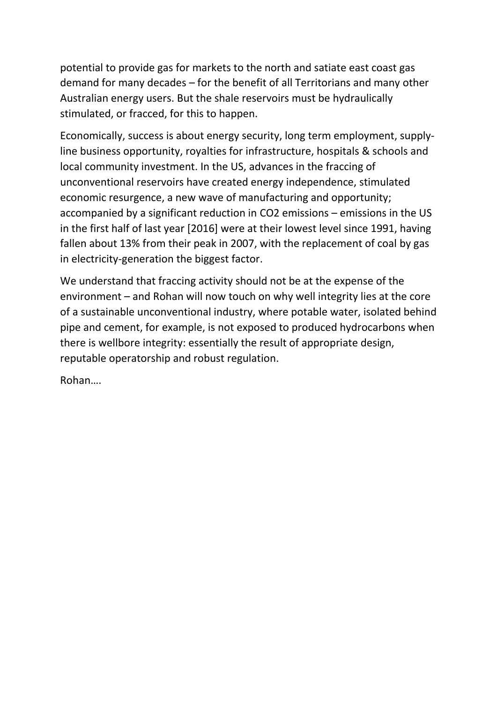potential to provide gas for markets to the north and satiate east coast gas demand for many decades – for the benefit of all Territorians and many other Australian energy users. But the shale reservoirs must be hydraulically stimulated, or fracced, for this to happen.

Economically, success is about energy security, long term employment, supplyline business opportunity, royalties for infrastructure, hospitals & schools and local community investment. In the US, advances in the fraccing of unconventional reservoirs have created energy independence, stimulated economic resurgence, a new wave of manufacturing and opportunity; accompanied by a significant reduction in CO2 emissions – emissions in the US in the first half of last year [2016] were at their lowest level since 1991, having fallen about 13% from their peak in 2007, with the replacement of coal by gas in electricity-generation the biggest factor.

We understand that fraccing activity should not be at the expense of the environment – and Rohan will now touch on why well integrity lies at the core of a sustainable unconventional industry, where potable water, isolated behind pipe and cement, for example, is not exposed to produced hydrocarbons when there is wellbore integrity: essentially the result of appropriate design, reputable operatorship and robust regulation.

Rohan….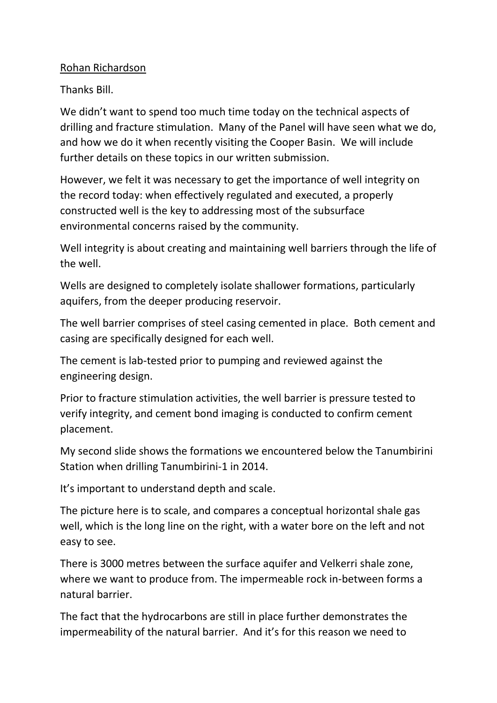## Rohan Richardson

Thanks Bill.

We didn't want to spend too much time today on the technical aspects of drilling and fracture stimulation. Many of the Panel will have seen what we do, and how we do it when recently visiting the Cooper Basin. We will include further details on these topics in our written submission.

However, we felt it was necessary to get the importance of well integrity on the record today: when effectively regulated and executed, a properly constructed well is the key to addressing most of the subsurface environmental concerns raised by the community.

Well integrity is about creating and maintaining well barriers through the life of the well.

Wells are designed to completely isolate shallower formations, particularly aquifers, from the deeper producing reservoir.

The well barrier comprises of steel casing cemented in place. Both cement and casing are specifically designed for each well.

The cement is lab-tested prior to pumping and reviewed against the engineering design.

Prior to fracture stimulation activities, the well barrier is pressure tested to verify integrity, and cement bond imaging is conducted to confirm cement placement.

My second slide shows the formations we encountered below the Tanumbirini Station when drilling Tanumbirini-1 in 2014.

It's important to understand depth and scale.

The picture here is to scale, and compares a conceptual horizontal shale gas well, which is the long line on the right, with a water bore on the left and not easy to see.

There is 3000 metres between the surface aquifer and Velkerri shale zone, where we want to produce from. The impermeable rock in-between forms a natural barrier.

The fact that the hydrocarbons are still in place further demonstrates the impermeability of the natural barrier. And it's for this reason we need to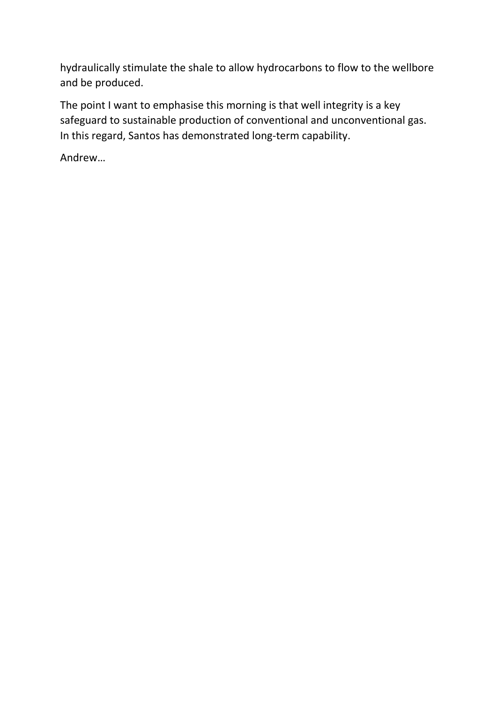hydraulically stimulate the shale to allow hydrocarbons to flow to the wellbore and be produced.

The point I want to emphasise this morning is that well integrity is a key safeguard to sustainable production of conventional and unconventional gas. In this regard, Santos has demonstrated long-term capability.

Andrew…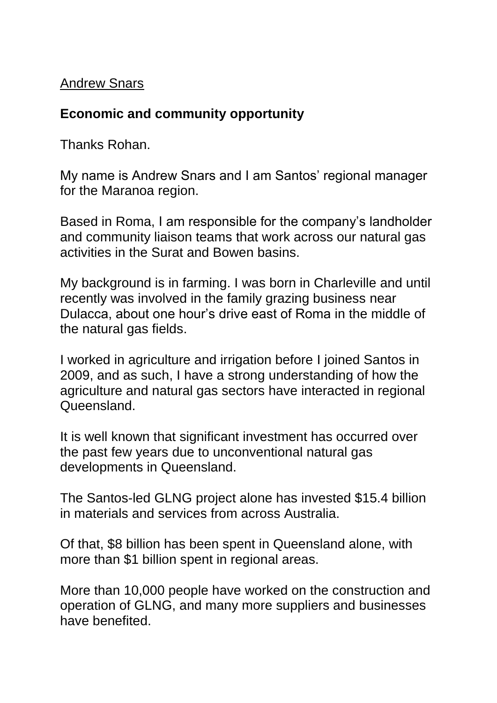# Andrew Snars

# **Economic and community opportunity**

Thanks Rohan.

My name is Andrew Snars and I am Santos' regional manager for the Maranoa region.

Based in Roma, I am responsible for the company's landholder and community liaison teams that work across our natural gas activities in the Surat and Bowen basins.

My background is in farming. I was born in Charleville and until recently was involved in the family grazing business near Dulacca, about one hour's drive east of Roma in the middle of the natural gas fields.

I worked in agriculture and irrigation before I joined Santos in 2009, and as such, I have a strong understanding of how the agriculture and natural gas sectors have interacted in regional Queensland.

It is well known that significant investment has occurred over the past few years due to unconventional natural gas developments in Queensland.

The Santos-led GLNG project alone has invested \$15.4 billion in materials and services from across Australia.

Of that, \$8 billion has been spent in Queensland alone, with more than \$1 billion spent in regional areas.

More than 10,000 people have worked on the construction and operation of GLNG, and many more suppliers and businesses have benefited.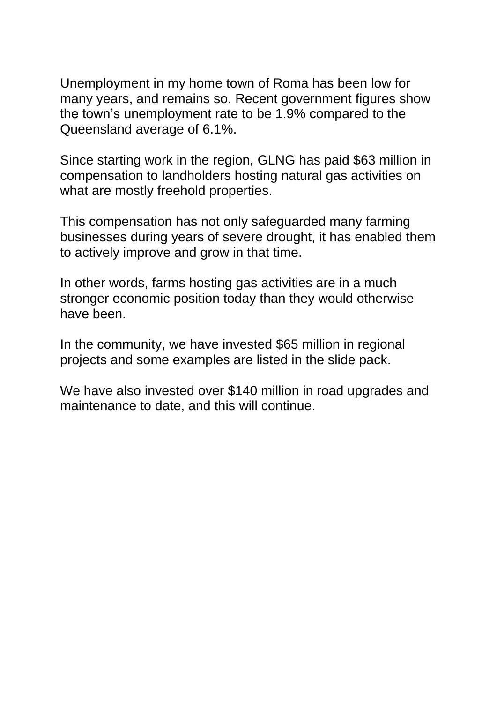Unemployment in my home town of Roma has been low for many years, and remains so. Recent government figures show the town's unemployment rate to be 1.9% compared to the Queensland average of 6.1%.

Since starting work in the region, GLNG has paid \$63 million in compensation to landholders hosting natural gas activities on what are mostly freehold properties.

This compensation has not only safeguarded many farming businesses during years of severe drought, it has enabled them to actively improve and grow in that time.

In other words, farms hosting gas activities are in a much stronger economic position today than they would otherwise have been.

In the community, we have invested \$65 million in regional projects and some examples are listed in the slide pack.

We have also invested over \$140 million in road upgrades and maintenance to date, and this will continue.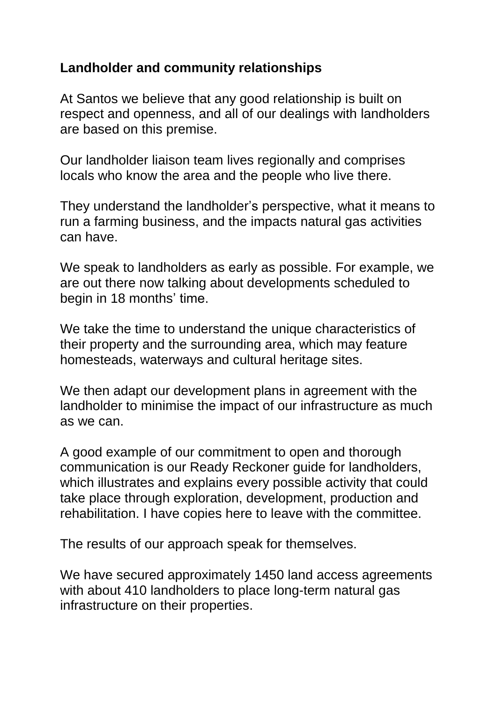# **Landholder and community relationships**

At Santos we believe that any good relationship is built on respect and openness, and all of our dealings with landholders are based on this premise.

Our landholder liaison team lives regionally and comprises locals who know the area and the people who live there.

They understand the landholder's perspective, what it means to run a farming business, and the impacts natural gas activities can have.

We speak to landholders as early as possible. For example, we are out there now talking about developments scheduled to begin in 18 months' time.

We take the time to understand the unique characteristics of their property and the surrounding area, which may feature homesteads, waterways and cultural heritage sites.

We then adapt our development plans in agreement with the landholder to minimise the impact of our infrastructure as much as we can.

A good example of our commitment to open and thorough communication is our Ready Reckoner guide for landholders, which illustrates and explains every possible activity that could take place through exploration, development, production and rehabilitation. I have copies here to leave with the committee.

The results of our approach speak for themselves.

We have secured approximately 1450 land access agreements with about 410 landholders to place long-term natural gas infrastructure on their properties.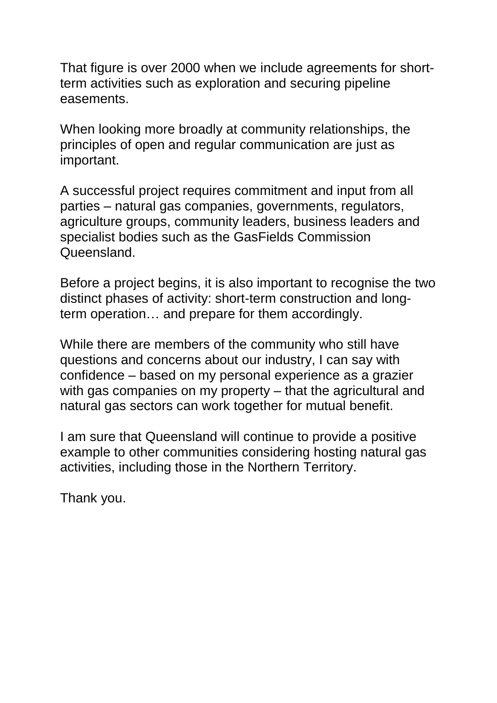That figure is over 2000 when we include agreements for shortterm activities such as exploration and securing pipeline easements.

When looking more broadly at community relationships, the principles of open and regular communication are just as important.

A successful project requires commitment and input from all parties – natural gas companies, governments, regulators, agriculture groups, community leaders, business leaders and specialist bodies such as the GasFields Commission Queensland.

Before a project begins, it is also important to recognise the two distinct phases of activity: short-term construction and longterm operation… and prepare for them accordingly.

While there are members of the community who still have questions and concerns about our industry, I can say with confidence – based on my personal experience as a grazier with gas companies on my property – that the agricultural and natural gas sectors can work together for mutual benefit.

I am sure that Queensland will continue to provide a positive example to other communities considering hosting natural gas activities, including those in the Northern Territory.

Thank you.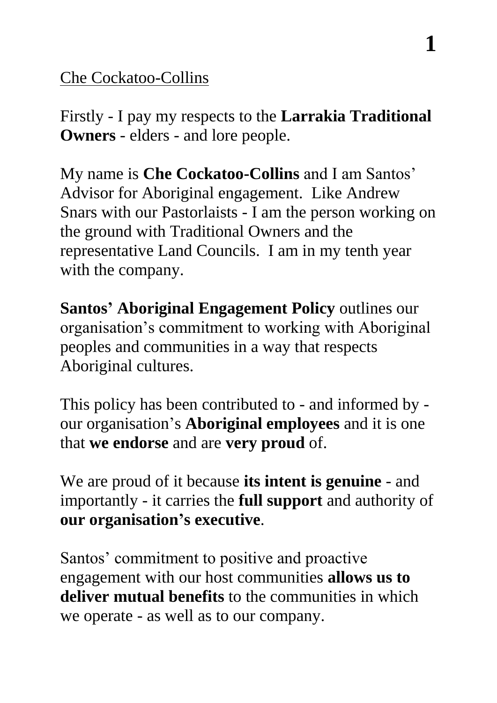# Che Cockatoo-Collins

Firstly - I pay my respects to the **Larrakia Traditional Owners** - elders - and lore people.

My name is **Che Cockatoo-Collins** and I am Santos' Advisor for Aboriginal engagement. Like Andrew Snars with our Pastorlaists - I am the person working on the ground with Traditional Owners and the representative Land Councils. I am in my tenth year with the company.

**Santos' Aboriginal Engagement Policy** outlines our organisation's commitment to working with Aboriginal peoples and communities in a way that respects Aboriginal cultures.

This policy has been contributed to - and informed by our organisation's **Aboriginal employees** and it is one that **we endorse** and are **very proud** of.

We are proud of it because **its intent is genuine** - and importantly - it carries the **full support** and authority of **our organisation's executive**.

Santos' commitment to positive and proactive engagement with our host communities **allows us to deliver mutual benefits** to the communities in which we operate - as well as to our company.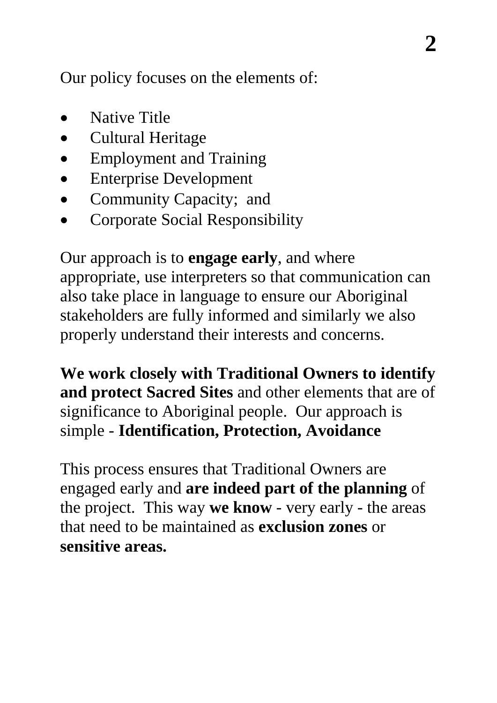Our policy focuses on the elements of:

- Native Title
- Cultural Heritage
- Employment and Training
- Enterprise Development
- Community Capacity; and
- Corporate Social Responsibility

Our approach is to **engage early**, and where appropriate, use interpreters so that communication can also take place in language to ensure our Aboriginal stakeholders are fully informed and similarly we also properly understand their interests and concerns.

**We work closely with Traditional Owners to identify and protect Sacred Sites** and other elements that are of significance to Aboriginal people. Our approach is simple - **Identification, Protection, Avoidance**

This process ensures that Traditional Owners are engaged early and **are indeed part of the planning** of the project. This way **we know** - very early - the areas that need to be maintained as **exclusion zones** or **sensitive areas.**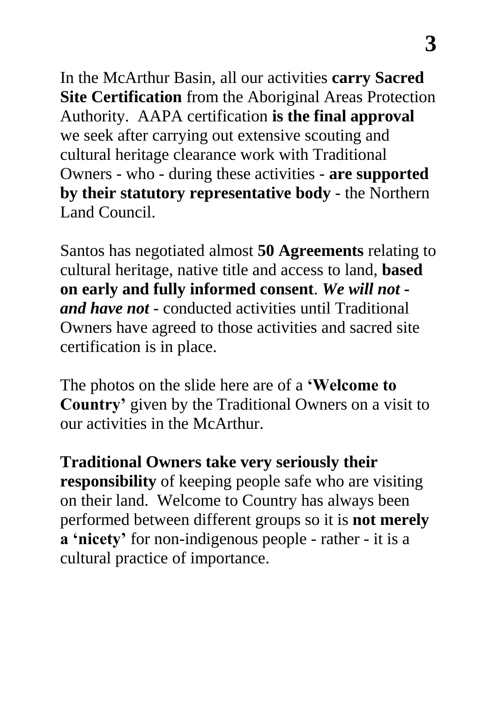In the McArthur Basin, all our activities **carry Sacred Site Certification** from the Aboriginal Areas Protection Authority. AAPA certification **is the final approval** we seek after carrying out extensive scouting and cultural heritage clearance work with Traditional Owners - who - during these activities - **are supported by their statutory representative body** - the Northern Land Council.

Santos has negotiated almost **50 Agreements** relating to cultural heritage, native title and access to land, **based on early and fully informed consent**. *We will not and have not* - conducted activities until Traditional Owners have agreed to those activities and sacred site certification is in place.

The photos on the slide here are of a **'Welcome to Country'** given by the Traditional Owners on a visit to our activities in the McArthur.

**Traditional Owners take very seriously their responsibility** of keeping people safe who are visiting on their land. Welcome to Country has always been performed between different groups so it is **not merely a 'nicety'** for non-indigenous people - rather - it is a cultural practice of importance.